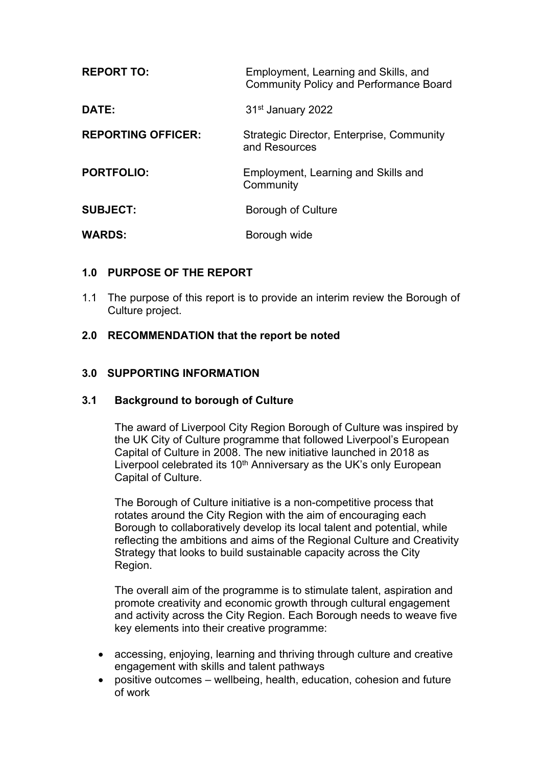| <b>REPORT TO:</b>         | Employment, Learning and Skills, and<br><b>Community Policy and Performance Board</b> |
|---------------------------|---------------------------------------------------------------------------------------|
| DATE:                     | 31 <sup>st</sup> January 2022                                                         |
| <b>REPORTING OFFICER:</b> | Strategic Director, Enterprise, Community<br>and Resources                            |
| <b>PORTFOLIO:</b>         | Employment, Learning and Skills and<br>Community                                      |
| <b>SUBJECT:</b>           | Borough of Culture                                                                    |
| <b>WARDS:</b>             | Borough wide                                                                          |

## **1.0 PURPOSE OF THE REPORT**

1.1 The purpose of this report is to provide an interim review the Borough of Culture project.

## **2.0 RECOMMENDATION that the report be noted**

#### **3.0 SUPPORTING INFORMATION**

#### **3.1 Background to borough of Culture**

The award of Liverpool City Region Borough of Culture was inspired by the UK City of Culture programme that followed Liverpool's European Capital of Culture in 2008. The new initiative launched in 2018 as Liverpool celebrated its 10<sup>th</sup> Anniversary as the UK's only European Capital of Culture.

The Borough of Culture initiative is a non-competitive process that rotates around the City Region with the aim of encouraging each Borough to collaboratively develop its local talent and potential, while reflecting the ambitions and aims of the Regional Culture and Creativity Strategy that looks to build sustainable capacity across the City Region.

The overall aim of the programme is to stimulate talent, aspiration and promote creativity and economic growth through cultural engagement and activity across the City Region. Each Borough needs to weave five key elements into their creative programme:

- accessing, enjoying, learning and thriving through culture and creative engagement with skills and talent pathways
- positive outcomes wellbeing, health, education, cohesion and future of work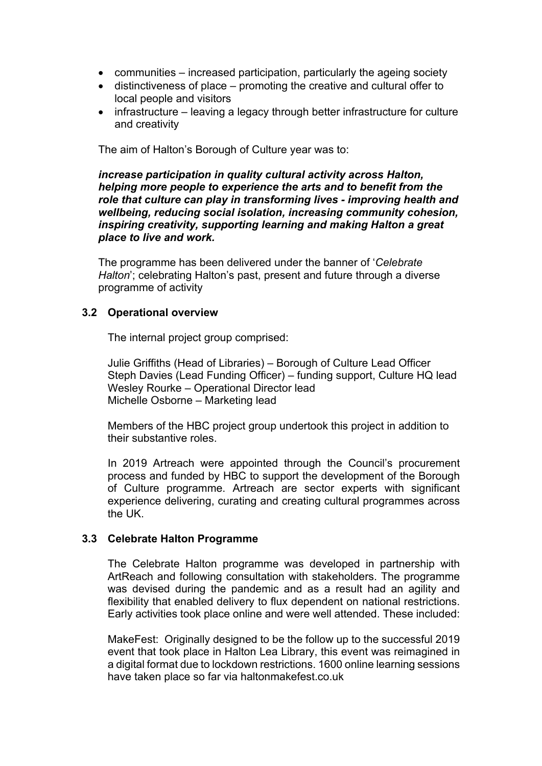- communities increased participation, particularly the ageing society
- distinctiveness of place promoting the creative and cultural offer to local people and visitors
- infrastructure leaving a legacy through better infrastructure for culture and creativity

The aim of Halton's Borough of Culture year was to:

*increase participation in quality cultural activity across Halton, helping more people to experience the arts and to benefit from the role that culture can play in transforming lives - improving health and wellbeing, reducing social isolation, increasing community cohesion, inspiring creativity, supporting learning and making Halton a great place to live and work.*

The programme has been delivered under the banner of '*Celebrate Halton*'; celebrating Halton's past, present and future through a diverse programme of activity

#### **3.2 Operational overview**

The internal project group comprised:

Julie Griffiths (Head of Libraries) – Borough of Culture Lead Officer Steph Davies (Lead Funding Officer) – funding support, Culture HQ lead Wesley Rourke – Operational Director lead Michelle Osborne – Marketing lead

Members of the HBC project group undertook this project in addition to their substantive roles.

In 2019 Artreach were appointed through the Council's procurement process and funded by HBC to support the development of the Borough of Culture programme. Artreach are sector experts with significant experience delivering, curating and creating cultural programmes across the UK.

#### **3.3 Celebrate Halton Programme**

The Celebrate Halton programme was developed in partnership with ArtReach and following consultation with stakeholders. The programme was devised during the pandemic and as a result had an agility and flexibility that enabled delivery to flux dependent on national restrictions. Early activities took place online and were well attended. These included:

MakeFest: Originally designed to be the follow up to the successful 2019 event that took place in Halton Lea Library, this event was reimagined in a digital format due to lockdown restrictions. 1600 online learning sessions have taken place so far via haltonmakefest.co.uk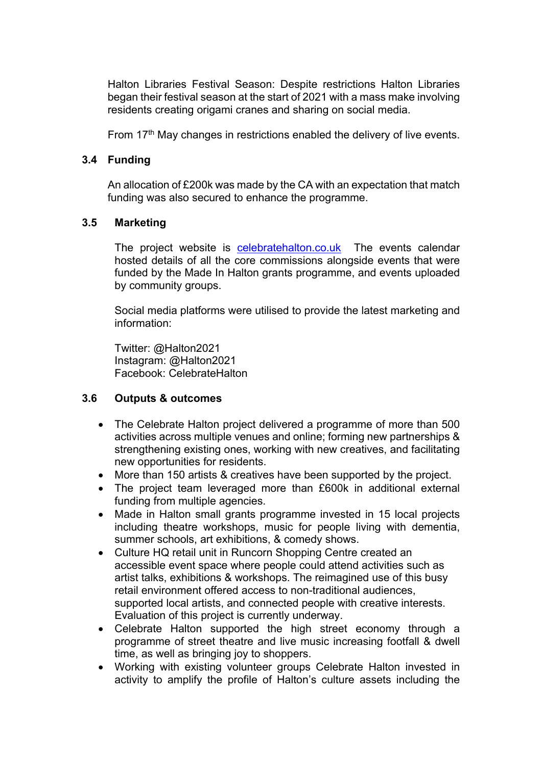Halton Libraries Festival Season: Despite restrictions Halton Libraries began their festival season at the start of 2021 with a mass make involving residents creating origami cranes and sharing on social media.

From 17<sup>th</sup> May changes in restrictions enabled the delivery of live events.

#### **3.4 Funding**

An allocation of £200k was made by the CA with an expectation that match funding was also secured to enhance the programme.

#### **3.5 Marketing**

The project website is [celebratehalton.co.uk](http://www.celebratehalton.co.uk/) The events calendar hosted details of all the core commissions alongside events that were funded by the Made In Halton grants programme, and events uploaded by community groups.

Social media platforms were utilised to provide the latest marketing and information:

Twitter: @Halton2021 Instagram: @Halton2021 Facebook: CelebrateHalton

#### **3.6 Outputs & outcomes**

- The Celebrate Halton project delivered a programme of more than 500 activities across multiple venues and online; forming new partnerships & strengthening existing ones, working with new creatives, and facilitating new opportunities for residents.
- More than 150 artists & creatives have been supported by the project.
- The project team leveraged more than £600k in additional external funding from multiple agencies.
- Made in Halton small grants programme invested in 15 local projects including theatre workshops, music for people living with dementia, summer schools, art exhibitions, & comedy shows.
- Culture HQ retail unit in Runcorn Shopping Centre created an accessible event space where people could attend activities such as artist talks, exhibitions & workshops. The reimagined use of this busy retail environment offered access to non-traditional audiences, supported local artists, and connected people with creative interests. Evaluation of this project is currently underway.
- Celebrate Halton supported the high street economy through a programme of street theatre and live music increasing footfall & dwell time, as well as bringing joy to shoppers.
- Working with existing volunteer groups Celebrate Halton invested in activity to amplify the profile of Halton's culture assets including the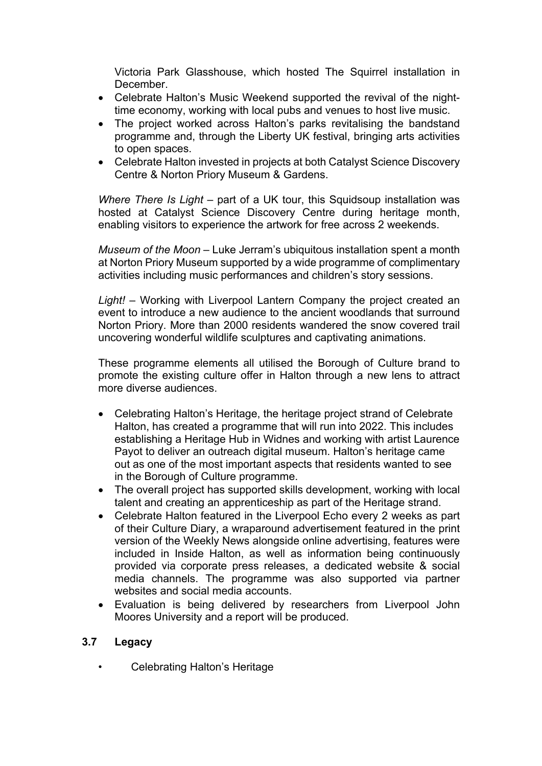Victoria Park Glasshouse, which hosted The Squirrel installation in December.

- Celebrate Halton's Music Weekend supported the revival of the nighttime economy, working with local pubs and venues to host live music.
- The project worked across Halton's parks revitalising the bandstand programme and, through the Liberty UK festival, bringing arts activities to open spaces.
- Celebrate Halton invested in projects at both Catalyst Science Discovery Centre & Norton Priory Museum & Gardens.

*Where There Is Light* – part of a UK tour, this Squidsoup installation was hosted at Catalyst Science Discovery Centre during heritage month, enabling visitors to experience the artwork for free across 2 weekends.

*Museum of the Moon* – Luke Jerram's ubiquitous installation spent a month at Norton Priory Museum supported by a wide programme of complimentary activities including music performances and children's story sessions.

*Light!* – Working with Liverpool Lantern Company the project created an event to introduce a new audience to the ancient woodlands that surround Norton Priory. More than 2000 residents wandered the snow covered trail uncovering wonderful wildlife sculptures and captivating animations.

These programme elements all utilised the Borough of Culture brand to promote the existing culture offer in Halton through a new lens to attract more diverse audiences.

- Celebrating Halton's Heritage, the heritage project strand of Celebrate Halton, has created a programme that will run into 2022. This includes establishing a Heritage Hub in Widnes and working with artist Laurence Payot to deliver an outreach digital museum. Halton's heritage came out as one of the most important aspects that residents wanted to see in the Borough of Culture programme.
- The overall project has supported skills development, working with local talent and creating an apprenticeship as part of the Heritage strand.
- Celebrate Halton featured in the Liverpool Echo every 2 weeks as part of their Culture Diary, a wraparound advertisement featured in the print version of the Weekly News alongside online advertising, features were included in Inside Halton, as well as information being continuously provided via corporate press releases, a dedicated website & social media channels. The programme was also supported via partner websites and social media accounts.
- Evaluation is being delivered by researchers from Liverpool John Moores University and a report will be produced.

## **3.7 Legacy**

• Celebrating Halton's Heritage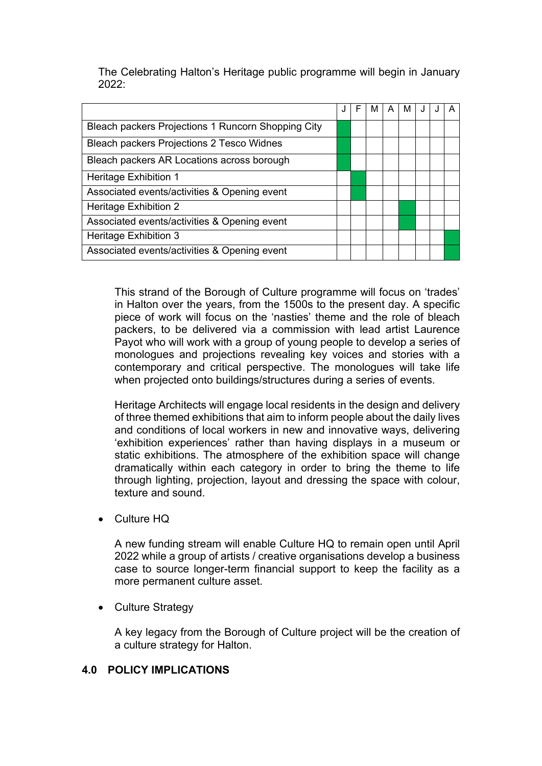The Celebrating Halton's Heritage public programme will begin in January 2022:

|                                                    |  | F | м | A | M | J | A |
|----------------------------------------------------|--|---|---|---|---|---|---|
| Bleach packers Projections 1 Runcorn Shopping City |  |   |   |   |   |   |   |
| Bleach packers Projections 2 Tesco Widnes          |  |   |   |   |   |   |   |
| Bleach packers AR Locations across borough         |  |   |   |   |   |   |   |
| Heritage Exhibition 1                              |  |   |   |   |   |   |   |
| Associated events/activities & Opening event       |  |   |   |   |   |   |   |
| Heritage Exhibition 2                              |  |   |   |   |   |   |   |
| Associated events/activities & Opening event       |  |   |   |   |   |   |   |
| <b>Heritage Exhibition 3</b>                       |  |   |   |   |   |   |   |
| Associated events/activities & Opening event       |  |   |   |   |   |   |   |

This strand of the Borough of Culture programme will focus on 'trades' in Halton over the years, from the 1500s to the present day. A specific piece of work will focus on the 'nasties' theme and the role of bleach packers, to be delivered via a commission with lead artist Laurence Payot who will work with a group of young people to develop a series of monologues and projections revealing key voices and stories with a contemporary and critical perspective. The monologues will take life when projected onto buildings/structures during a series of events.

Heritage Architects will engage local residents in the design and delivery of three themed exhibitions that aim to inform people about the daily lives and conditions of local workers in new and innovative ways, delivering 'exhibition experiences' rather than having displays in a museum or static exhibitions. The atmosphere of the exhibition space will change dramatically within each category in order to bring the theme to life through lighting, projection, layout and dressing the space with colour, texture and sound.

Culture HQ

A new funding stream will enable Culture HQ to remain open until April 2022 while a group of artists / creative organisations develop a business case to source longer-term financial support to keep the facility as a more permanent culture asset.

• Culture Strategy

A key legacy from the Borough of Culture project will be the creation of a culture strategy for Halton.

#### **4.0 POLICY IMPLICATIONS**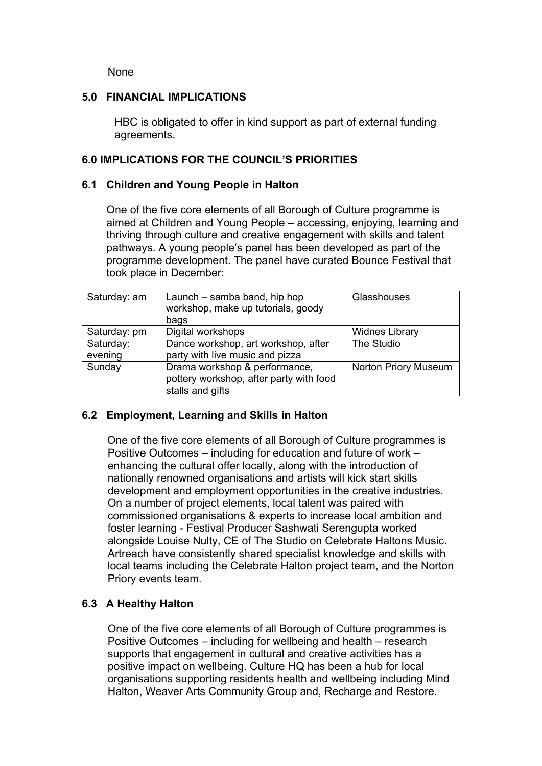None

#### **5.0 FINANCIAL IMPLICATIONS**

HBC is obligated to offer in kind support as part of external funding agreements.

#### **6.0 IMPLICATIONS FOR THE COUNCIL'S PRIORITIES**

#### **6.1 Children and Young People in Halton**

One of the five core elements of all Borough of Culture programme is aimed at Children and Young People – accessing, enjoying, learning and thriving through culture and creative engagement with skills and talent pathways. A young people's panel has been developed as part of the programme development. The panel have curated Bounce Festival that took place in December:

| Saturday: am | Launch – samba band, hip hop<br>workshop, make up tutorials, goody | Glasshouses                 |
|--------------|--------------------------------------------------------------------|-----------------------------|
|              | bags                                                               |                             |
| Saturday: pm | Digital workshops                                                  | <b>Widnes Library</b>       |
| Saturday:    | Dance workshop, art workshop, after                                | The Studio                  |
| evening      | party with live music and pizza                                    |                             |
| Sunday       | Drama workshop & performance,                                      | <b>Norton Priory Museum</b> |
|              | pottery workshop, after party with food                            |                             |
|              | stalls and gifts                                                   |                             |

#### **6.2 Employment, Learning and Skills in Halton**

One of the five core elements of all Borough of Culture programmes is Positive Outcomes – including for education and future of work – enhancing the cultural offer locally, along with the introduction of nationally renowned organisations and artists will kick start skills development and employment opportunities in the creative industries. On a number of project elements, local talent was paired with commissioned organisations & experts to increase local ambition and foster learning - Festival Producer Sashwati Serengupta worked alongside Louise Nulty, CE of The Studio on Celebrate Haltons Music. Artreach have consistently shared specialist knowledge and skills with local teams including the Celebrate Halton project team, and the Norton Priory events team.

#### **6.3 A Healthy Halton**

One of the five core elements of all Borough of Culture programmes is Positive Outcomes – including for wellbeing and health – research supports that engagement in cultural and creative activities has a positive impact on wellbeing. Culture HQ has been a hub for local organisations supporting residents health and wellbeing including Mind Halton, Weaver Arts Community Group and, Recharge and Restore.